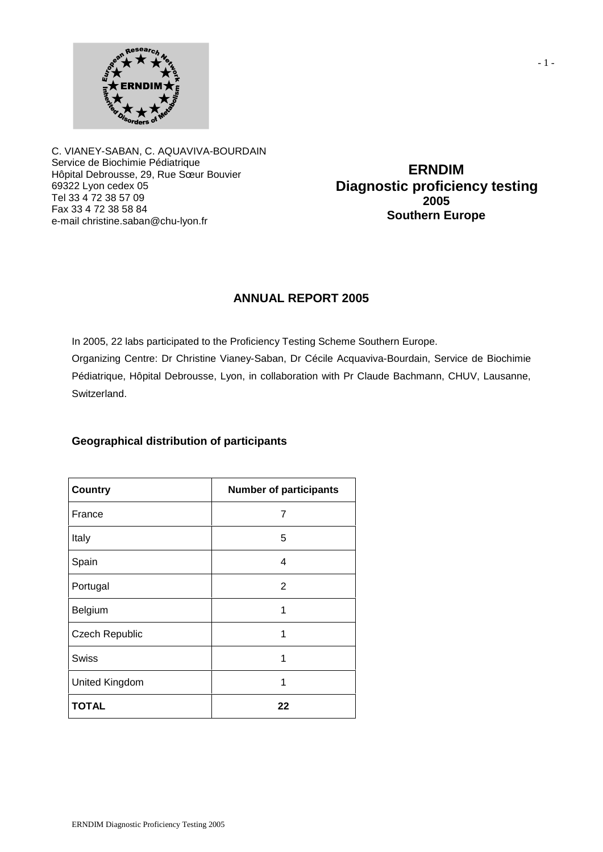

C. VIANEY-SABAN, C. AQUAVIVA-BOURDAIN Service de Biochimie Pédiatrique Hôpital Debrousse, 29, Rue Sœur Bouvier 69322 Lyon cedex 05 Tel 33 4 72 38 57 09 Fax 33 4 72 38 58 84 e-mail christine.saban@chu-lyon.fr

**ERNDIM Diagnostic proficiency testing 2005 Southern Europe**

## **ANNUAL REPORT 2005**

In 2005, 22 labs participated to the Proficiency Testing Scheme Southern Europe.

Organizing Centre: Dr Christine Vianey-Saban, Dr Cécile Acquaviva-Bourdain, Service de Biochimie Pédiatrique, Hôpital Debrousse, Lyon, in collaboration with Pr Claude Bachmann, CHUV, Lausanne, Switzerland.

## **Geographical distribution of participants**

| <b>Country</b>        | <b>Number of participants</b> |
|-----------------------|-------------------------------|
| France                | 7                             |
| Italy                 | 5                             |
| Spain                 | 4                             |
| Portugal              | $\overline{2}$                |
| Belgium               | 1                             |
| <b>Czech Republic</b> | 1                             |
| Swiss                 | 1                             |
| United Kingdom        | 1                             |
| <b>TOTAL</b>          | 22                            |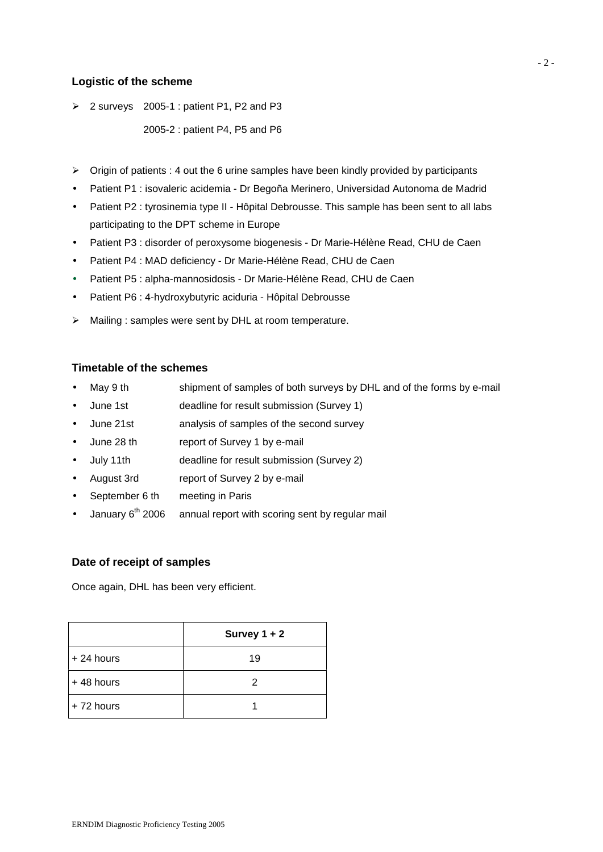## **Logistic of the scheme**

 $\geq$  2 surveys 2005-1 : patient P1, P2 and P3

2005-2 : patient P4, P5 and P6

- $\triangleright$  Origin of patients : 4 out the 6 urine samples have been kindly provided by participants
- Patient P1 : isovaleric acidemia Dr Begoña Merinero, Universidad Autonoma de Madrid
- Patient P2 : tyrosinemia type II Hôpital Debrousse. This sample has been sent to all labs participating to the DPT scheme in Europe
- Patient P3 : disorder of peroxysome biogenesis Dr Marie-Hélène Read, CHU de Caen
- Patient P4 : MAD deficiency Dr Marie-Hélène Read, CHU de Caen
- Patient P5 : alpha-mannosidosis Dr Marie-Hélène Read, CHU de Caen
- Patient P6 : 4-hydroxybutyric aciduria Hôpital Debrousse
- $\triangleright$  Mailing : samples were sent by DHL at room temperature.

### **Timetable of the schemes**

- May 9 th shipment of samples of both surveys by DHL and of the forms by e-mail
- June 1st deadline for result submission (Survey 1)
- June 21st analysis of samples of the second survey
- June 28 th report of Survey 1 by e-mail
- July 11th deadline for result submission (Survey 2)
- August 3rd report of Survey 2 by e-mail
- September 6 th meeting in Paris
- January  $6<sup>th</sup>$  2006 annual report with scoring sent by regular mail

### **Date of receipt of samples**

Once again, DHL has been very efficient.

|             | Survey $1 + 2$ |
|-------------|----------------|
| $+24$ hours | 19             |
| $+48$ hours | 2              |
| $+72$ hours |                |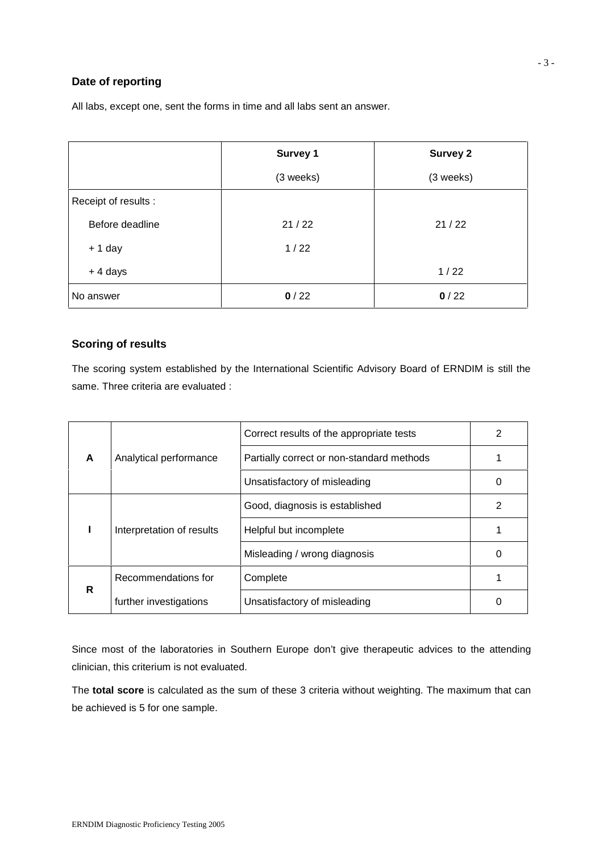## **Date of reporting**

All labs, except one, sent the forms in time and all labs sent an answer.

|                      | Survey 1  | <b>Survey 2</b> |
|----------------------|-----------|-----------------|
|                      | (3 weeks) | (3 weeks)       |
| Receipt of results : |           |                 |
| Before deadline      | 21/22     | 21/22           |
| $+1$ day             | 1/22      |                 |
| $+4$ days            |           | 1/22            |
| No answer            | 0/22      | 0/22            |

## **Scoring of results**

The scoring system established by the International Scientific Advisory Board of ERNDIM is still the same. Three criteria are evaluated :

|   |                           | Correct results of the appropriate tests  |   |
|---|---------------------------|-------------------------------------------|---|
| A | Analytical performance    | Partially correct or non-standard methods |   |
|   |                           | Unsatisfactory of misleading              | O |
|   |                           | Good, diagnosis is established            | 2 |
|   | Interpretation of results | Helpful but incomplete                    |   |
|   |                           | Misleading / wrong diagnosis              |   |
|   | Recommendations for       | Complete                                  |   |
| R | further investigations    | Unsatisfactory of misleading              |   |

Since most of the laboratories in Southern Europe don't give therapeutic advices to the attending clinician, this criterium is not evaluated.

The **total score** is calculated as the sum of these 3 criteria without weighting. The maximum that can be achieved is 5 for one sample.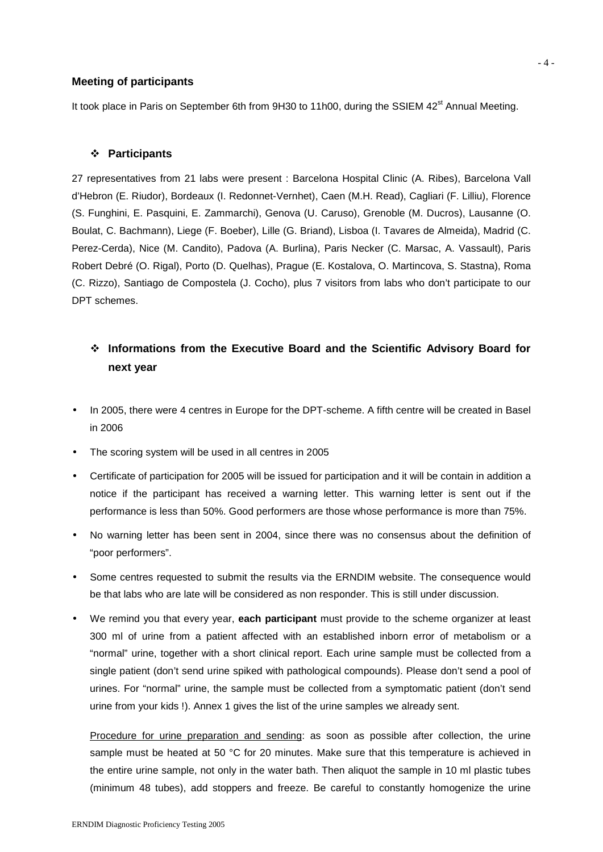#### **Meeting of participants**

It took place in Paris on September 6th from 9H30 to 11h00, during the SSIEM 42<sup>st</sup> Annual Meeting.

#### **Participants**

27 representatives from 21 labs were present : Barcelona Hospital Clinic (A. Ribes), Barcelona Vall d'Hebron (E. Riudor), Bordeaux (I. Redonnet-Vernhet), Caen (M.H. Read), Cagliari (F. Lilliu), Florence (S. Funghini, E. Pasquini, E. Zammarchi), Genova (U. Caruso), Grenoble (M. Ducros), Lausanne (O. Boulat, C. Bachmann), Liege (F. Boeber), Lille (G. Briand), Lisboa (I. Tavares de Almeida), Madrid (C. Perez-Cerda), Nice (M. Candito), Padova (A. Burlina), Paris Necker (C. Marsac, A. Vassault), Paris Robert Debré (O. Rigal), Porto (D. Quelhas), Prague (E. Kostalova, O. Martincova, S. Stastna), Roma (C. Rizzo), Santiago de Compostela (J. Cocho), plus 7 visitors from labs who don't participate to our DPT schemes.

# **Informations from the Executive Board and the Scientific Advisory Board for next year**

- In 2005, there were 4 centres in Europe for the DPT-scheme. A fifth centre will be created in Basel in 2006
- The scoring system will be used in all centres in 2005
- Certificate of participation for 2005 will be issued for participation and it will be contain in addition a notice if the participant has received a warning letter. This warning letter is sent out if the performance is less than 50%. Good performers are those whose performance is more than 75%.
- No warning letter has been sent in 2004, since there was no consensus about the definition of "poor performers".
- Some centres requested to submit the results via the ERNDIM website. The consequence would be that labs who are late will be considered as non responder. This is still under discussion.
- We remind you that every year, **each participant** must provide to the scheme organizer at least 300 ml of urine from a patient affected with an established inborn error of metabolism or a "normal" urine, together with a short clinical report. Each urine sample must be collected from a single patient (don't send urine spiked with pathological compounds). Please don't send a pool of urines. For "normal" urine, the sample must be collected from a symptomatic patient (don't send urine from your kids !). Annex 1 gives the list of the urine samples we already sent.

Procedure for urine preparation and sending: as soon as possible after collection, the urine sample must be heated at 50 °C for 20 minutes. Make sure that this temperature is achieved in the entire urine sample, not only in the water bath. Then aliquot the sample in 10 ml plastic tubes (minimum 48 tubes), add stoppers and freeze. Be careful to constantly homogenize the urine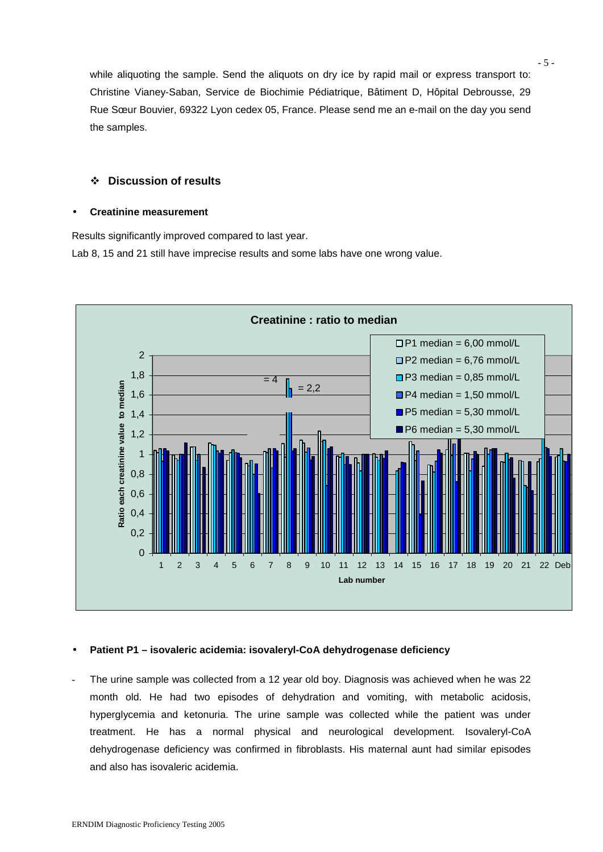while aliquoting the sample. Send the aliquots on dry ice by rapid mail or express transport to: Christine Vianey-Saban, Service de Biochimie Pédiatrique, Bâtiment D, Hôpital Debrousse, 29 Rue Sœur Bouvier, 69322 Lyon cedex 05, France. Please send me an e-mail on the day you send the samples.

## **Discussion of results**

#### **Creatinine measurement**

Results significantly improved compared to last year.

Lab 8, 15 and 21 still have imprecise results and some labs have one wrong value.



### **Patient P1 – isovaleric acidemia: isovaleryl-CoA dehydrogenase deficiency**

The urine sample was collected from a 12 year old boy. Diagnosis was achieved when he was 22 month old. He had two episodes of dehydration and vomiting, with metabolic acidosis, hyperglycemia and ketonuria. The urine sample was collected while the patient was under treatment. He has a normal physical and neurological development. Isovaleryl-CoA dehydrogenase deficiency was confirmed in fibroblasts. His maternal aunt had similar episodes and also has isovaleric acidemia.

- 5 -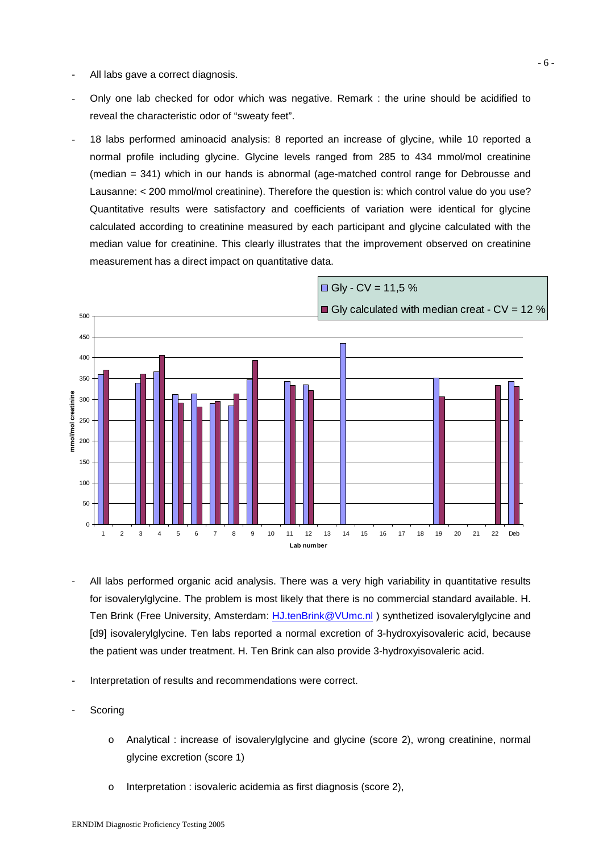- All labs gave a correct diagnosis.
- Only one lab checked for odor which was negative. Remark : the urine should be acidified to reveal the characteristic odor of "sweaty feet".
- 18 labs performed aminoacid analysis: 8 reported an increase of glycine, while 10 reported a normal profile including glycine. Glycine levels ranged from 285 to 434 mmol/mol creatinine (median = 341) which in our hands is abnormal (age-matched control range for Debrousse and Lausanne: < 200 mmol/mol creatinine). Therefore the question is: which control value do you use? Quantitative results were satisfactory and coefficients of variation were identical for glycine calculated according to creatinine measured by each participant and glycine calculated with the median value for creatinine. This clearly illustrates that the improvement observed on creatinine measurement has a direct impact on quantitative data.



- All labs performed organic acid analysis. There was a very high variability in quantitative results for isovalerylglycine. The problem is most likely that there is no commercial standard available. H. Ten Brink (Free University, Amsterdam: HJ.tenBrink@VUmc.nl) synthetized isovalerylglycine and [d9] isovalerylglycine. Ten labs reported a normal excretion of 3-hydroxyisovaleric acid, because the patient was under treatment. H. Ten Brink can also provide 3-hydroxyisovaleric acid.
- Interpretation of results and recommendations were correct.
- **Scoring** 
	- o Analytical : increase of isovalerylglycine and glycine (score 2), wrong creatinine, normal glycine excretion (score 1)
	- o Interpretation : isovaleric acidemia as first diagnosis (score 2),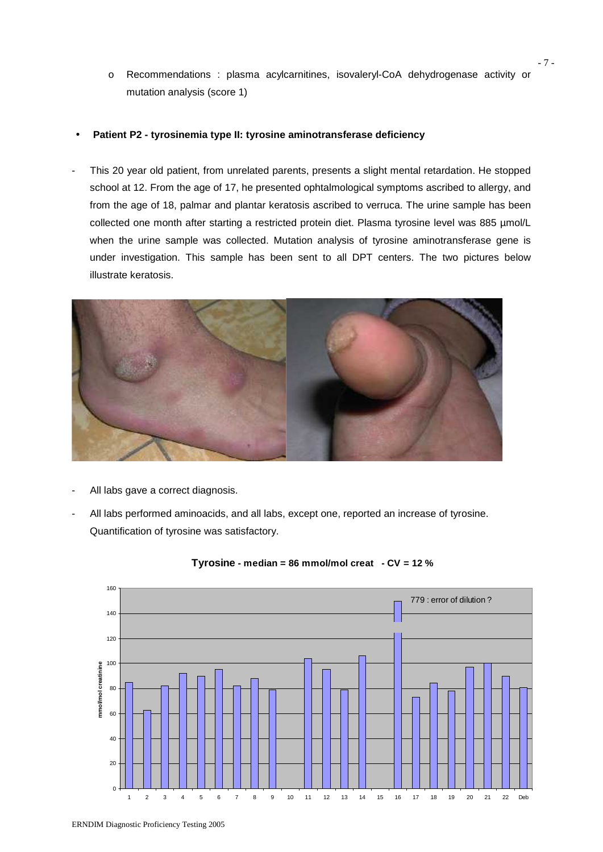o Recommendations : plasma acylcarnitines, isovaleryl-CoA dehydrogenase activity or mutation analysis (score 1)

#### **Patient P2 - tyrosinemia type II: tyrosine aminotransferase deficiency**

This 20 year old patient, from unrelated parents, presents a slight mental retardation. He stopped school at 12. From the age of 17, he presented ophtalmological symptoms ascribed to allergy, and from the age of 18, palmar and plantar keratosis ascribed to verruca. The urine sample has been collected one month after starting a restricted protein diet. Plasma tyrosine level was 885 µmol/L when the urine sample was collected. Mutation analysis of tyrosine aminotransferase gene is under investigation. This sample has been sent to all DPT centers. The two pictures below illustrate keratosis.



- All labs gave a correct diagnosis.
- All labs performed aminoacids, and all labs, except one, reported an increase of tyrosine. Quantification of tyrosine was satisfactory.



#### **Tyrosine - median = 86 mmol/mol creat - CV = 12 %**

ERNDIM Diagnostic Proficiency Testing 2005

- 7 -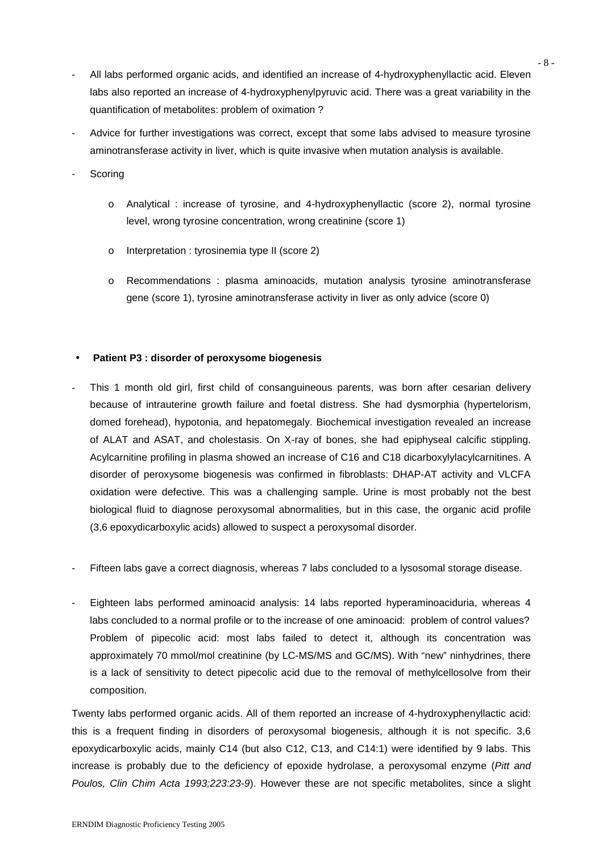- All labs performed organic acids, and identified an increase of 4-hydroxyphenyllactic acid. Eleven labs also reported an increase of 4-hydroxyphenylpyruvic acid. There was a great variability in the quantification of metabolites: problem of oximation ?
- Advice for further investigations was correct, except that some labs advised to measure tyrosine aminotransferase activity in liver, which is quite invasive when mutation analysis is available.
- **Scoring** 
	- o Analytical : increase of tyrosine, and 4-hydroxyphenyllactic (score 2), normal tyrosine level, wrong tyrosine concentration, wrong creatinine (score 1)
	- o Interpretation : tyrosinemia type II (score 2)
	- o Recommendations : plasma aminoacids, mutation analysis tyrosine aminotransferase gene (score 1), tyrosine aminotransferase activity in liver as only advice (score 0)

### **Patient P3 : disorder of peroxysome biogenesis**

- This 1 month old girl, first child of consanguineous parents, was born after cesarian delivery because of intrauterine growth failure and foetal distress. She had dysmorphia (hypertelorism, domed forehead), hypotonia, and hepatomegaly. Biochemical investigation revealed an increase of ALAT and ASAT, and cholestasis. On X-ray of bones, she had epiphyseal calcific stippling. Acylcarnitine profiling in plasma showed an increase of C16 and C18 dicarboxylylacylcarnitines. A disorder of peroxysome biogenesis was confirmed in fibroblasts: DHAP-AT activity and VLCFA oxidation were defective. This was a challenging sample. Urine is most probably not the best biological fluid to diagnose peroxysomal abnormalities, but in this case, the organic acid profile (3,6 epoxydicarboxylic acids) allowed to suspect a peroxysomal disorder.
- Fifteen labs gave a correct diagnosis, whereas 7 labs concluded to a lysosomal storage disease.
- Eighteen labs performed aminoacid analysis: 14 labs reported hyperaminoaciduria, whereas 4 labs concluded to a normal profile or to the increase of one aminoacid: problem of control values? Problem of pipecolic acid: most labs failed to detect it, although its concentration was approximately 70 mmol/mol creatinine (by LC-MS/MS and GC/MS). With "new" ninhydrines, there is a lack of sensitivity to detect pipecolic acid due to the removal of methylcellosolve from their composition.

Twenty labs performed organic acids. All of them reported an increase of 4-hydroxyphenyllactic acid: this is a frequent finding in disorders of peroxysomal biogenesis, although it is not specific. 3,6 epoxydicarboxylic acids, mainly C14 (but also C12, C13, and C14:1) were identified by 9 labs. This increase is probably due to the deficiency of epoxide hydrolase, a peroxysomal enzyme (*Pitt and Poulos, Clin Chim Acta 1993;223:23-9*). However these are not specific metabolites, since a slight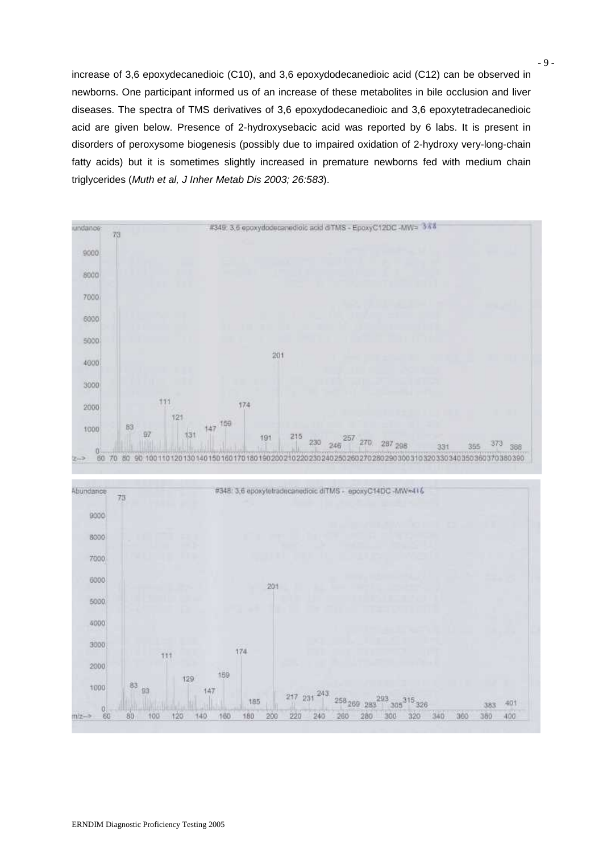increase of 3,6 epoxydecanedioic (C10), and 3,6 epoxydodecanedioic acid (C12) can be observed in newborns. One participant informed us of an increase of these metabolites in bile occlusion and liver diseases. The spectra of TMS derivatives of 3,6 epoxydodecanedioic and 3,6 epoxytetradecanedioic acid are given below. Presence of 2-hydroxysebacic acid was reported by 6 labs. It is present in disorders of peroxysome biogenesis (possibly due to impaired oxidation of 2-hydroxy very-long-chain fatty acids) but it is sometimes slightly increased in premature newborns fed with medium chain triglycerides (*Muth et al, J Inher Metab Dis 2003; 26:583*).

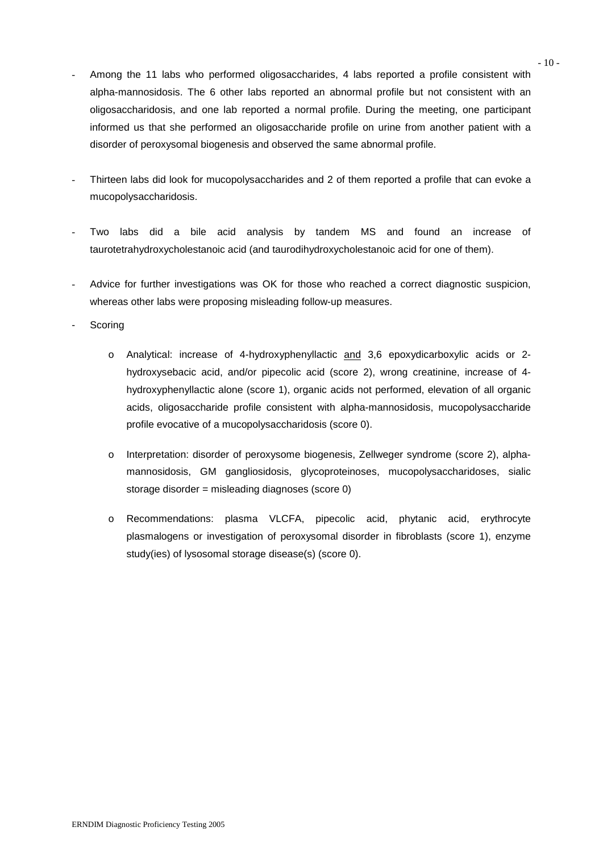- Among the 11 labs who performed oligosaccharides, 4 labs reported a profile consistent with alpha-mannosidosis. The 6 other labs reported an abnormal profile but not consistent with an oligosaccharidosis, and one lab reported a normal profile. During the meeting, one participant informed us that she performed an oligosaccharide profile on urine from another patient with a disorder of peroxysomal biogenesis and observed the same abnormal profile.
- Thirteen labs did look for mucopolysaccharides and 2 of them reported a profile that can evoke a mucopolysaccharidosis.
- Two labs did a bile acid analysis by tandem MS and found an increase of taurotetrahydroxycholestanoic acid (and taurodihydroxycholestanoic acid for one of them).
- Advice for further investigations was OK for those who reached a correct diagnostic suspicion, whereas other labs were proposing misleading follow-up measures.
- **Scoring** 
	- o Analytical: increase of 4-hydroxyphenyllactic and 3,6 epoxydicarboxylic acids or 2 hydroxysebacic acid, and/or pipecolic acid (score 2), wrong creatinine, increase of 4 hydroxyphenyllactic alone (score 1), organic acids not performed, elevation of all organic acids, oligosaccharide profile consistent with alpha-mannosidosis, mucopolysaccharide profile evocative of a mucopolysaccharidosis (score 0).
	- o Interpretation: disorder of peroxysome biogenesis, Zellweger syndrome (score 2), alpha mannosidosis, GM gangliosidosis, glycoproteinoses, mucopolysaccharidoses, sialic storage disorder = misleading diagnoses (score 0)
	- o Recommendations: plasma VLCFA, pipecolic acid, phytanic acid, erythrocyte plasmalogens or investigation of peroxysomal disorder in fibroblasts (score 1), enzyme study(ies) of lysosomal storage disease(s) (score 0).

 $-10-$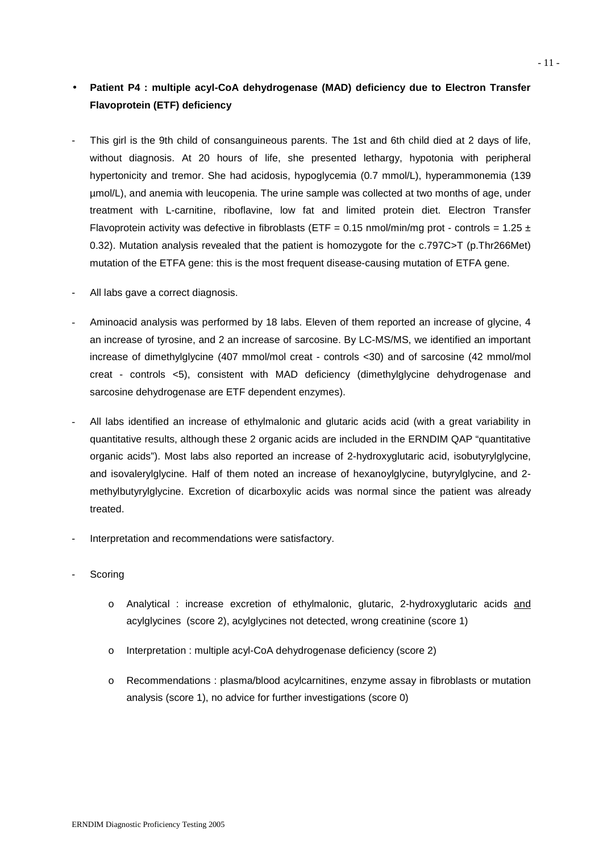# **Patient P4 : multiple acyl-CoA dehydrogenase (MAD) deficiency due to Electron Transfer Flavoprotein (ETF) deficiency**

- This girl is the 9th child of consanguineous parents. The 1st and 6th child died at 2 days of life, without diagnosis. At 20 hours of life, she presented lethargy, hypotonia with peripheral hypertonicity and tremor. She had acidosis, hypoglycemia (0.7 mmol/L), hyperammonemia (139 µmol/L), and anemia with leucopenia. The urine sample was collected at two months of age, under treatment with L-carnitine, riboflavine, low fat and limited protein diet. Electron Transfer Flavoprotein activity was defective in fibroblasts (ETF = 0.15 nmol/min/mg prot - controls = 1.25  $\pm$ 0.32). Mutation analysis revealed that the patient is homozygote for the c.797C>T (p.Thr266Met) mutation of the ETFA gene: this is the most frequent disease-causing mutation of ETFA gene.
- All labs gave a correct diagnosis.
- Aminoacid analysis was performed by 18 labs. Eleven of them reported an increase of glycine, 4 an increase of tyrosine, and 2 an increase of sarcosine. By LC-MS/MS, we identified an important increase of dimethylglycine (407 mmol/mol creat - controls <30) and of sarcosine (42 mmol/mol creat - controls <5), consistent with MAD deficiency (dimethylglycine dehydrogenase and sarcosine dehydrogenase are ETF dependent enzymes).
- All labs identified an increase of ethylmalonic and glutaric acids acid (with a great variability in quantitative results, although these 2 organic acids are included in the ERNDIM QAP "quantitative organic acids"). Most labs also reported an increase of 2-hydroxyglutaric acid, isobutyrylglycine, and isovalerylglycine. Half of them noted an increase of hexanoylglycine, butyrylglycine, and 2 methylbutyrylglycine. Excretion of dicarboxylic acids was normal since the patient was already treated.
- Interpretation and recommendations were satisfactory.
- **Scoring** 
	- o Analytical : increase excretion of ethylmalonic, glutaric, 2-hydroxyglutaric acids and acylglycines (score 2), acylglycines not detected, wrong creatinine (score 1)
	- o Interpretation : multiple acyl-CoA dehydrogenase deficiency (score 2)
	- o Recommendations : plasma/blood acylcarnitines, enzyme assay in fibroblasts or mutation analysis (score 1), no advice for further investigations (score 0)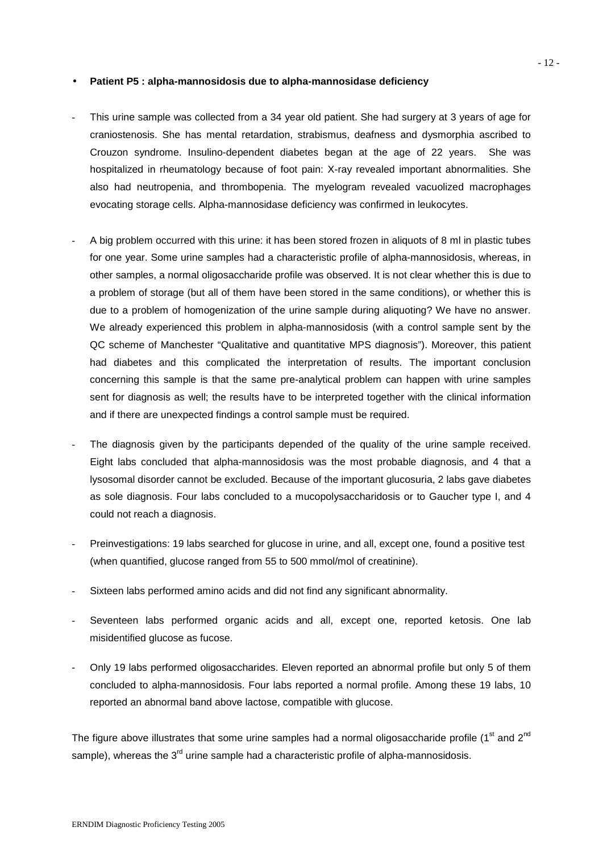#### **Patient P5 : alpha-mannosidosis due to alpha-mannosidase deficiency**

- This urine sample was collected from a 34 year old patient. She had surgery at 3 years of age for craniostenosis. She has mental retardation, strabismus, deafness and dysmorphia ascribed to Crouzon syndrome. Insulino-dependent diabetes began at the age of 22 years. She was hospitalized in rheumatology because of foot pain: X-ray revealed important abnormalities. She also had neutropenia, and thrombopenia. The myelogram revealed vacuolized macrophages evocating storage cells. Alpha-mannosidase deficiency was confirmed in leukocytes.
- A big problem occurred with this urine: it has been stored frozen in aliquots of 8 ml in plastic tubes for one year. Some urine samples had a characteristic profile of alpha-mannosidosis, whereas, in other samples, a normal oligosaccharide profile was observed. It is not clear whether this is due to a problem of storage (but all of them have been stored in the same conditions), or whether this is due to a problem of homogenization of the urine sample during aliquoting? We have no answer. We already experienced this problem in alpha-mannosidosis (with a control sample sent by the QC scheme of Manchester "Qualitative and quantitative MPS diagnosis"). Moreover, this patient had diabetes and this complicated the interpretation of results. The important conclusion concerning this sample is that the same pre-analytical problem can happen with urine samples sent for diagnosis as well; the results have to be interpreted together with the clinical information and if there are unexpected findings a control sample must be required.
- The diagnosis given by the participants depended of the quality of the urine sample received. Eight labs concluded that alpha-mannosidosis was the most probable diagnosis, and 4 that a lysosomal disorder cannot be excluded. Because of the important glucosuria, 2 labs gave diabetes as sole diagnosis. Four labs concluded to a mucopolysaccharidosis or to Gaucher type I, and 4 could not reach a diagnosis.
- Preinvestigations: 19 labs searched for glucose in urine, and all, except one, found a positive test (when quantified, glucose ranged from 55 to 500 mmol/mol of creatinine).
- Sixteen labs performed amino acids and did not find any significant abnormality.
- Seventeen labs performed organic acids and all, except one, reported ketosis. One lab misidentified glucose as fucose.
- Only 19 labs performed oligosaccharides. Eleven reported an abnormal profile but only 5 of them concluded to alpha-mannosidosis. Four labs reported a normal profile. Among these 19 labs, 10 reported an abnormal band above lactose, compatible with glucose.

The figure above illustrates that some urine samples had a normal oligosaccharide profile (1<sup>st</sup> and  $2^{nd}$ ) sample), whereas the  $3<sup>rd</sup>$  urine sample had a characteristic profile of alpha-mannosidosis.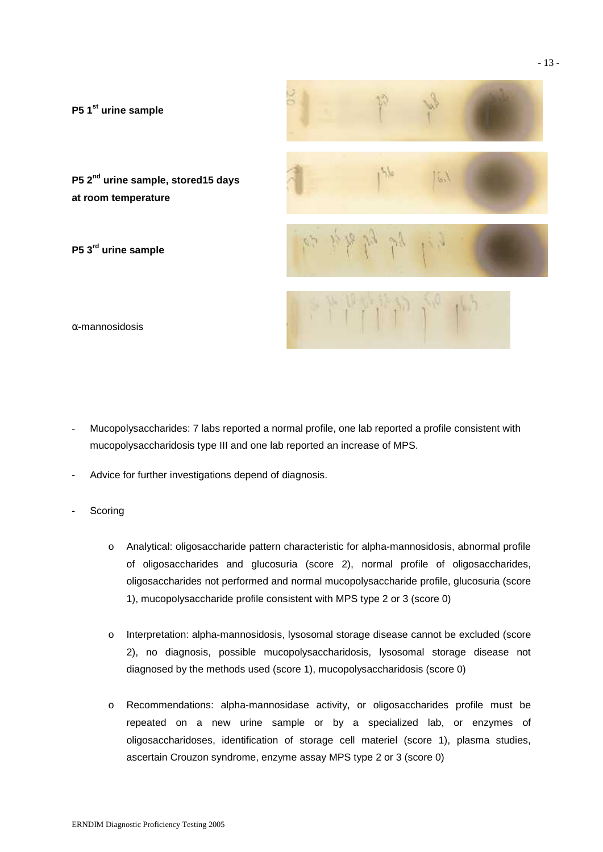

 $\alpha$ -mannosidosis

- Mucopolysaccharides: 7 labs reported a normal profile, one lab reported a profile consistent with mucopolysaccharidosis type III and one lab reported an increase of MPS.
- Advice for further investigations depend of diagnosis.
- **Scoring** 
	- o Analytical: oligosaccharide pattern characteristic for alpha-mannosidosis, abnormal profile of oligosaccharides and glucosuria (score 2), normal profile of oligosaccharides, oligosaccharides not performed and normal mucopolysaccharide profile, glucosuria (score 1), mucopolysaccharide profile consistent with MPS type 2 or 3 (score 0)
	- o Interpretation: alpha-mannosidosis, lysosomal storage disease cannot be excluded (score 2), no diagnosis, possible mucopolysaccharidosis, lysosomal storage disease not diagnosed by the methods used (score 1), mucopolysaccharidosis (score 0)
	- o Recommendations: alpha-mannosidase activity, or oligosaccharides profile must be repeated on a new urine sample or by a specialized lab, or enzymes of oligosaccharidoses, identification of storage cell materiel (score 1), plasma studies, ascertain Crouzon syndrome, enzyme assay MPS type 2 or 3 (score 0)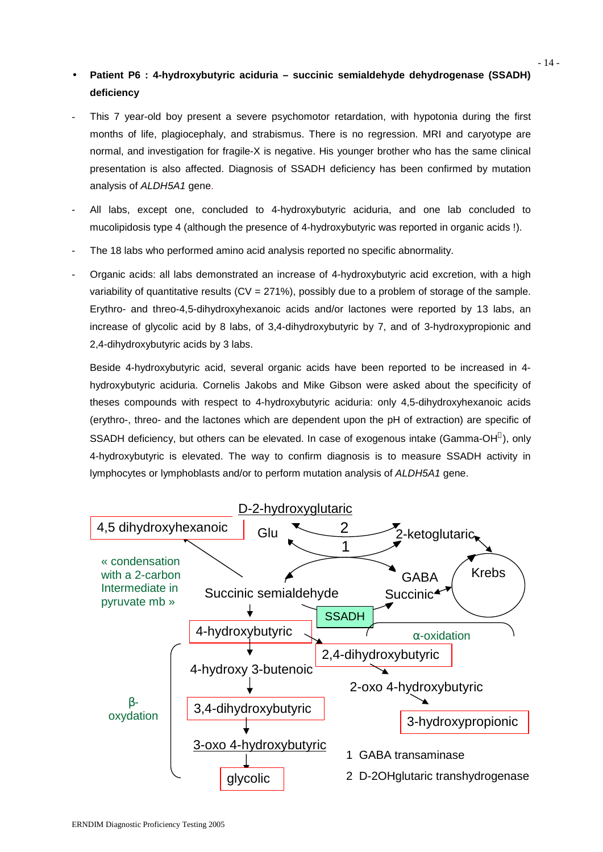# **Patient P6 : 4-hydroxybutyric aciduria – succinic semialdehyde dehydrogenase (SSADH) deficiency**

- This 7 year-old boy present a severe psychomotor retardation, with hypotonia during the first months of life, plagiocephaly, and strabismus. There is no regression. MRI and caryotype are normal, and investigation for fragile-X is negative. His younger brother who has the same clinical presentation is also affected. Diagnosis of SSADH deficiency has been confirmed by mutation analysis of *ALDH5A1* gene.
- All labs, except one, concluded to 4-hydroxybutyric aciduria, and one lab concluded to mucolipidosis type 4 (although the presence of 4-hydroxybutyric was reported in organic acids !).
- The 18 labs who performed amino acid analysis reported no specific abnormality.
- Organic acids: all labs demonstrated an increase of 4-hydroxybutyric acid excretion, with a high variability of quantitative results  $(CV = 271\%)$ , possibly due to a problem of storage of the sample. Erythro- and threo-4,5-dihydroxyhexanoic acids and/or lactones were reported by 13 labs, an increase of glycolic acid by 8 labs, of 3,4-dihydroxybutyric by 7, and of 3-hydroxypropionic and 2,4-dihydroxybutyric acids by 3 labs.

Beside 4-hydroxybutyric acid, several organic acids have been reported to be increased in 4 hydroxybutyric aciduria. Cornelis Jakobs and Mike Gibson were asked about the specificity of theses compounds with respect to 4-hydroxybutyric aciduria: only 4,5-dihydroxyhexanoic acids (erythro-, threo- and the lactones which are dependent upon the pH of extraction) are specific of SSADH deficiency, but others can be elevated. In case of exogenous intake (Gamma-OH®), only 4-hydroxybutyric is elevated. The way to confirm diagnosis is to measure SSADH activity in lymphocytes or lymphoblasts and/or to perform mutation analysis of *ALDH5A1* gene.

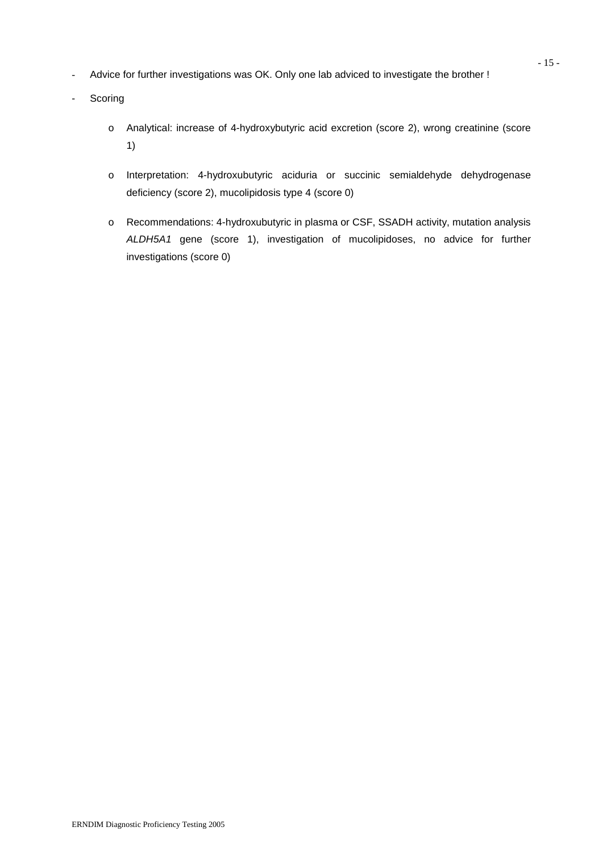- Advice for further investigations was OK. Only one lab adviced to investigate the brother !
- Scoring
	- o Analytical: increase of 4-hydroxybutyric acid excretion (score 2), wrong creatinine (score 1)
	- o Interpretation: 4-hydroxubutyric aciduria or succinic semialdehyde dehydrogenase deficiency (score 2), mucolipidosis type 4 (score 0)
	- o Recommendations: 4-hydroxubutyric in plasma or CSF, SSADH activity, mutation analysis *ALDH5A1* gene (score 1), investigation of mucolipidoses, no advice for further investigations (score 0)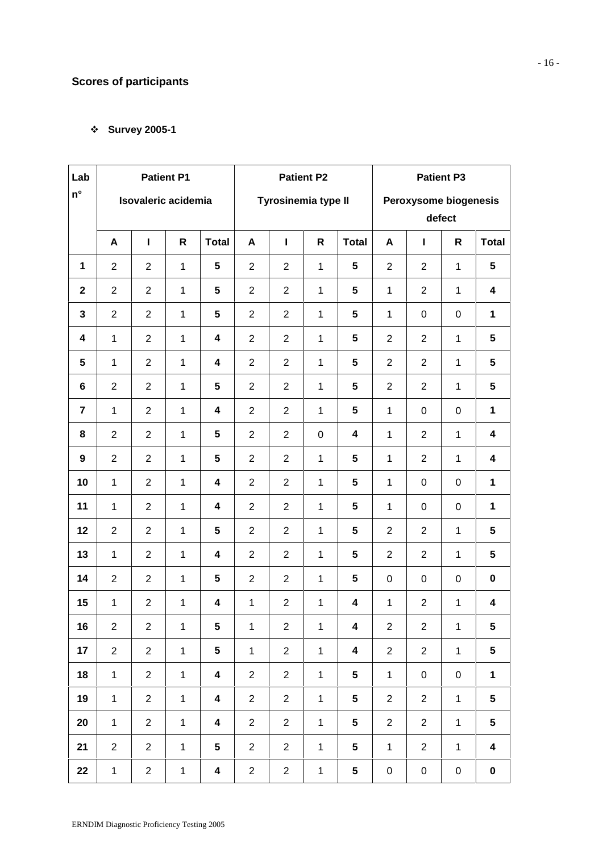# **Scores of participants**

## **Survey 2005-1**

| Lab                |                | <b>Patient P1</b>                          |              |                         |                | <b>Patient P2</b>               |              |              | <b>Patient P3</b> |                |                  |                         |
|--------------------|----------------|--------------------------------------------|--------------|-------------------------|----------------|---------------------------------|--------------|--------------|-------------------|----------------|------------------|-------------------------|
| $\mathsf{n}^\circ$ |                | Isovaleric acidemia<br>Tyrosinemia type II |              |                         |                | Peroxysome biogenesis<br>defect |              |              |                   |                |                  |                         |
|                    | A              | $\mathbf{I}$                               | $\mathsf{R}$ | <b>Total</b>            | A              | $\mathbf{I}$                    | $\mathsf{R}$ | <b>Total</b> | A                 | $\mathbf{I}$   | R                | <b>Total</b>            |
| $\mathbf{1}$       | $\overline{2}$ | $\overline{2}$                             | $\mathbf{1}$ | 5                       | $\overline{2}$ | 2                               | $\mathbf{1}$ | 5            | $\overline{2}$    | $\overline{2}$ | $\mathbf{1}$     | 5                       |
| $\mathbf{2}$       | $\overline{2}$ | $\overline{2}$                             | $\mathbf{1}$ | $5\phantom{.0}$         | $\overline{2}$ | 2                               | $\mathbf 1$  | 5            | $\mathbf{1}$      | $\overline{2}$ | $\mathbf{1}$     | $\overline{\mathbf{4}}$ |
| 3                  | $\overline{2}$ | $\overline{2}$                             | $\mathbf{1}$ | $5\phantom{.0}$         | $\overline{2}$ | $\overline{2}$                  | $\mathbf{1}$ | 5            | $\mathbf{1}$      | $\pmb{0}$      | $\mathsf 0$      | $\mathbf 1$             |
| 4                  | $\mathbf{1}$   | $\overline{2}$                             | $\mathbf{1}$ | 4                       | 2              | $\overline{2}$                  | $\mathbf{1}$ | 5            | $\overline{2}$    | $\overline{2}$ | $\mathbf{1}$     | $5\phantom{.0}$         |
| 5                  | $\mathbf{1}$   | $\overline{2}$                             | $\mathbf{1}$ | $\overline{\mathbf{4}}$ | $\overline{2}$ | 2                               | $\mathbf{1}$ | 5            | $\overline{2}$    | $\overline{2}$ | $\mathbf{1}$     | $5\phantom{.0}$         |
| 6                  | $\overline{2}$ | $\overline{2}$                             | $\mathbf{1}$ | 5                       | $\overline{2}$ | $\overline{2}$                  | $\mathbf{1}$ | 5            | $\overline{2}$    | $\overline{2}$ | $\mathbf{1}$     | $5\phantom{.0}$         |
| $\overline{7}$     | $\mathbf{1}$   | $\overline{2}$                             | $\mathbf{1}$ | $\overline{\mathbf{4}}$ | $\overline{2}$ | 2                               | $\mathbf{1}$ | 5            | $\mathbf{1}$      | $\mathbf 0$    | $\boldsymbol{0}$ | $\mathbf{1}$            |
| 8                  | $\overline{2}$ | $\overline{2}$                             | $\mathbf{1}$ | $5\phantom{.0}$         | $\overline{2}$ | $\overline{2}$                  | $\pmb{0}$    | 4            | $\mathbf{1}$      | $\overline{2}$ | $\mathbf{1}$     | $\overline{\mathbf{4}}$ |
| 9                  | $\overline{2}$ | $\overline{2}$                             | $\mathbf{1}$ | $5\phantom{.0}$         | $\overline{2}$ | $\overline{2}$                  | $\mathbf{1}$ | 5            | $\mathbf{1}$      | $\overline{2}$ | $\mathbf{1}$     | $\overline{\mathbf{4}}$ |
| 10                 | $\mathbf{1}$   | $\overline{2}$                             | $\mathbf{1}$ | $\overline{\mathbf{4}}$ | $\overline{2}$ | 2                               | $\mathbf{1}$ | 5            | $\mathbf{1}$      | $\mathbf 0$    | $\boldsymbol{0}$ | $\mathbf{1}$            |
| 11                 | $\mathbf{1}$   | $\overline{2}$                             | $\mathbf 1$  | $\overline{\mathbf{4}}$ | $\overline{2}$ | $\overline{2}$                  | $\mathbf{1}$ | 5            | $\mathbf{1}$      | 0              | $\mathbf 0$      | $\mathbf{1}$            |
| 12                 | $\overline{2}$ | $\overline{2}$                             | $\mathbf{1}$ | 5                       | $\overline{2}$ | 2                               | $\mathbf{1}$ | 5            | $\overline{2}$    | $\overline{2}$ | $\mathbf{1}$     | $5\phantom{.0}$         |
| 13                 | $\mathbf{1}$   | $\overline{2}$                             | $\mathbf{1}$ | $\overline{\mathbf{4}}$ | $\overline{2}$ | 2                               | $\mathbf{1}$ | 5            | $\overline{2}$    | $\overline{2}$ | $\mathbf{1}$     | 5                       |
| 14                 | $\overline{2}$ | $\overline{2}$                             | $\mathbf{1}$ | 5                       | $\overline{2}$ | $\overline{2}$                  | $\mathbf{1}$ | 5            | $\mathbf 0$       | 0              | $\mathsf 0$      | $\mathbf 0$             |
| 15                 | $\mathbf{1}$   | $\overline{2}$                             | $\mathbf 1$  | 4                       | 1              | $\overline{2}$                  | $\mathbf{1}$ | 4            | $\mathbf{1}$      | $\overline{c}$ | $\mathbf{1}$     | 4                       |
| 16                 | $\overline{2}$ | $\overline{2}$                             | $\mathbf{1}$ | $\sqrt{5}$              | 1              | $\overline{2}$                  | 1            | 4            | $\overline{2}$    | $\overline{2}$ | 1                | $\sqrt{5}$              |
| 17                 | $\overline{2}$ | $\overline{2}$                             | $\mathbf{1}$ | $\sqrt{5}$              | $\mathbf 1$    | $\overline{2}$                  | $\mathbf{1}$ | 4            | $\overline{2}$    | $\overline{2}$ | $\mathbf{1}$     | $\overline{\mathbf{5}}$ |
| 18                 | $\mathbf{1}$   | $\overline{2}$                             | $\mathbf{1}$ | $\overline{\mathbf{4}}$ | $\mathbf{2}$   | $\overline{2}$                  | $\mathbf{1}$ | 5            | $\mathbf{1}$      | $\pmb{0}$      | $\pmb{0}$        | $\mathbf{1}$            |
| 19                 | $\mathbf{1}$   | $\overline{2}$                             | $\mathbf{1}$ | $\overline{\mathbf{4}}$ | $\overline{2}$ | $\overline{2}$                  | $\mathbf{1}$ | 5            | $\overline{2}$    | $\sqrt{2}$     | $\mathbf{1}$     | 5                       |
| 20                 | $\mathbf{1}$   | $\overline{2}$                             | $\mathbf{1}$ | $\overline{\mathbf{4}}$ | $\overline{2}$ | $\overline{2}$                  | $\mathbf{1}$ | 5            | $\overline{2}$    | $\overline{2}$ | $\mathbf{1}$     | $5\phantom{.0}$         |
| 21                 | $\overline{2}$ | $\overline{2}$                             | $\mathbf{1}$ | $\overline{\mathbf{5}}$ | $\overline{2}$ | $\overline{2}$                  | $\mathbf{1}$ | 5            | $\mathbf{1}$      | $\overline{2}$ | $\mathbf{1}$     | $\overline{\mathbf{4}}$ |
| 22                 | $\mathbf{1}$   | $\overline{2}$                             | $\mathbf{1}$ | $\overline{\mathbf{4}}$ | $\overline{2}$ | $\overline{2}$                  | $\mathbf{1}$ | 5            | $\pmb{0}$         | $\pmb{0}$      | $\pmb{0}$        | $\pmb{0}$               |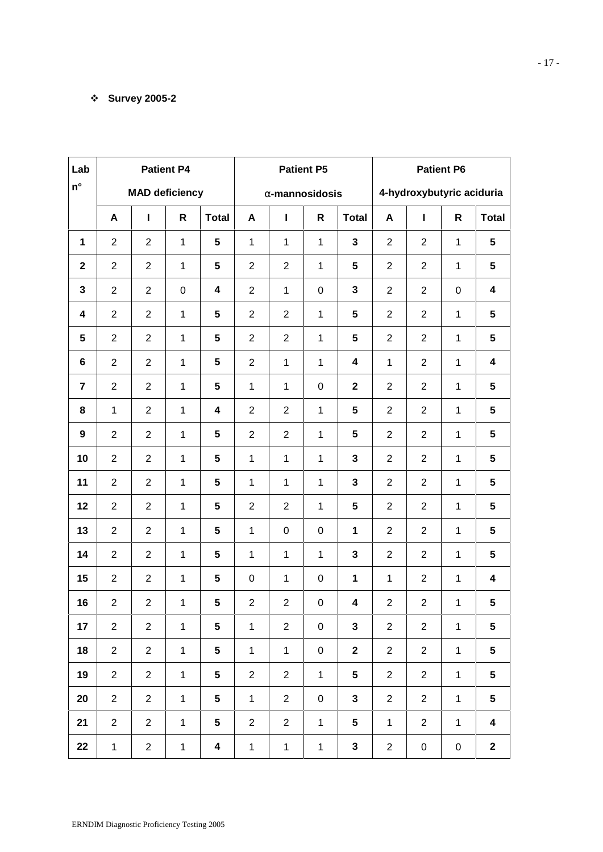## **Survey 2005-2**

| Lab                     |                |                                         | <b>Patient P4</b> |                         |                | <b>Patient P5</b>         |                  |                         | <b>Patient P6</b> |                  |                  |                         |
|-------------------------|----------------|-----------------------------------------|-------------------|-------------------------|----------------|---------------------------|------------------|-------------------------|-------------------|------------------|------------------|-------------------------|
| $n^{\circ}$             |                | <b>MAD deficiency</b><br>r-mannosidosis |                   |                         |                | 4-hydroxybutyric aciduria |                  |                         |                   |                  |                  |                         |
|                         | A              | L                                       | $\mathsf{R}$      | <b>Total</b>            | A              | L                         | $\mathsf{R}$     | <b>Total</b>            | A                 | L                | R                | <b>Total</b>            |
| $\mathbf 1$             | $\overline{2}$ | $\overline{2}$                          | $\mathbf{1}$      | $5\phantom{.0}$         | $\mathbf{1}$   | $\mathbf{1}$              | $\mathbf{1}$     | $\mathbf 3$             | $\overline{2}$    | $\overline{2}$   | $\mathbf{1}$     | $5\phantom{.0}$         |
| $\mathbf{2}$            | $\overline{2}$ | $\overline{2}$                          | $\mathbf{1}$      | $5\phantom{.0}$         | $\overline{2}$ | $\overline{2}$            | $\mathbf{1}$     | $5\phantom{.0}$         | $\overline{2}$    | $\overline{2}$   | $\mathbf{1}$     | $5\phantom{.0}$         |
| $\mathbf{3}$            | $\overline{2}$ | $\overline{2}$                          | $\pmb{0}$         | 4                       | $\overline{2}$ | $\mathbf{1}$              | $\boldsymbol{0}$ | $\mathbf{3}$            | $\overline{2}$    | $\overline{2}$   | $\boldsymbol{0}$ | $\boldsymbol{4}$        |
| $\overline{\mathbf{4}}$ | $\overline{2}$ | $\overline{2}$                          | $\mathbf 1$       | $5\phantom{.0}$         | $\overline{2}$ | $\overline{2}$            | $\mathbf{1}$     | 5                       | $\overline{2}$    | $\overline{2}$   | $\mathbf 1$      | 5                       |
| $5\phantom{.0}$         | $\overline{2}$ | $\overline{2}$                          | $\mathbf{1}$      | $5\phantom{.0}$         | $\overline{2}$ | $\overline{2}$            | $\mathbf{1}$     | 5                       | $\overline{2}$    | $\overline{2}$   | 1                | 5                       |
| $\bf 6$                 | $\overline{2}$ | $\overline{2}$                          | $\mathbf{1}$      | 5                       | $\overline{2}$ | $\mathbf{1}$              | $\mathbf 1$      | $\overline{\mathbf{4}}$ | $\mathbf{1}$      | $\overline{2}$   | 1                | 4                       |
| $\overline{7}$          | $\overline{2}$ | $\overline{2}$                          | $\mathbf{1}$      | 5                       | $\mathbf{1}$   | $\mathbf{1}$              | $\boldsymbol{0}$ | $\mathbf 2$             | $\overline{2}$    | $\overline{2}$   | 1                | 5                       |
| 8                       | $\mathbf{1}$   | $\overline{2}$                          | $\mathbf 1$       | $\overline{\mathbf{4}}$ | $\overline{2}$ | $\overline{2}$            | $\mathbf 1$      | 5                       | $\overline{2}$    | $\overline{2}$   | 1                | 5                       |
| $\boldsymbol{9}$        | $\overline{2}$ | $\overline{2}$                          | $\mathbf 1$       | 5                       | $\overline{2}$ | $\overline{2}$            | $\mathbf 1$      | 5                       | $\overline{2}$    | $\overline{2}$   | $\mathbf{1}$     | 5                       |
| 10                      | $\overline{2}$ | $\overline{2}$                          | 1                 | 5                       | $\mathbf{1}$   | $\mathbf{1}$              | $\mathbf{1}$     | $\mathbf{3}$            | $\overline{2}$    | $\overline{2}$   | 1                | 5                       |
| 11                      | $\overline{2}$ | $\overline{2}$                          | 1                 | 5                       | $\mathbf{1}$   | $\mathbf{1}$              | $\mathbf 1$      | $\mathbf{3}$            | $\overline{2}$    | $\overline{2}$   | 1                | 5                       |
| 12                      | $\overline{2}$ | $\overline{2}$                          | 1                 | 5                       | $\overline{2}$ | $\overline{2}$            | $\mathbf{1}$     | $5\phantom{.0}$         | $\overline{2}$    | $\overline{2}$   | 1                | 5                       |
| 13                      | $\overline{2}$ | $\overline{2}$                          | $\mathbf{1}$      | $5\phantom{.0}$         | $\mathbf 1$    | $\mathbf 0$               | $\pmb{0}$        | 1                       | $\overline{2}$    | $\overline{2}$   | $\mathbf 1$      | 5                       |
| 14                      | $\overline{2}$ | $\overline{2}$                          | $\mathbf 1$       | $5\phantom{.0}$         | 1              | 1                         | $\mathbf{1}$     | $\mathbf 3$             | $\overline{2}$    | $\overline{2}$   | 1                | 5                       |
| 15                      | $\overline{2}$ | $\overline{2}$                          | $\mathbf 1$       | $5\phantom{.0}$         | 0              | 1                         | $\pmb{0}$        | 1                       | $\mathbf{1}$      | $\overline{2}$   | 1                | $\boldsymbol{4}$        |
| 16                      | $\overline{2}$ | $\overline{c}$                          | 1                 | $5\phantom{.0}$         | $\overline{2}$ | $\overline{2}$            | $\boldsymbol{0}$ | 4                       | $\sqrt{2}$        | $\overline{2}$   | 1                | 5                       |
| 17                      | $\overline{2}$ | $\overline{2}$                          | $\mathbf{1}$      | $5\phantom{.0}$         | $\mathbf{1}$   | $\overline{2}$            | $\boldsymbol{0}$ | $\mathbf 3$             | $\overline{2}$    | $\overline{2}$   | $\mathbf{1}$     | ${\bf 5}$               |
| 18                      | $\overline{2}$ | $\overline{2}$                          | $\mathbf{1}$      | $\overline{\mathbf{5}}$ | $\mathbf{1}$   | $\mathbf{1}$              | $\boldsymbol{0}$ | $\mathbf 2$             | $\overline{2}$    | $\overline{2}$   | $\mathbf{1}$     | 5                       |
| 19                      | $\overline{2}$ | $\sqrt{2}$                              | $\mathbf{1}$      | $5\phantom{.0}$         | $\mathbf{2}$   | $\overline{2}$            | $\mathbf{1}$     | $5\phantom{a}$          | $\sqrt{2}$        | $\overline{2}$   | $\mathbf{1}$     | $5\phantom{a}$          |
| 20                      | $\overline{2}$ | $\sqrt{2}$                              | $\mathbf{1}$      | $5\phantom{.0}$         | $\mathbf{1}$   | $\overline{2}$            | $\boldsymbol{0}$ | $\mathbf{3}$            | $\overline{2}$    | $\overline{2}$   | $\mathbf{1}$     | $5\phantom{a}$          |
| 21                      | $\overline{2}$ | $\sqrt{2}$                              | $\mathbf{1}$      | $\overline{\mathbf{5}}$ | $\overline{2}$ | $\overline{2}$            | $\mathbf{1}$     | $5\phantom{a}$          | $\mathbf{1}$      | $\overline{2}$   | $\mathbf{1}$     | $\overline{\mathbf{4}}$ |
| 22                      | $\mathbf{1}$   | $\overline{2}$                          | $\mathbf{1}$      | $\overline{\mathbf{4}}$ | $\mathbf{1}$   | $\mathbf{1}$              | $\mathbf{1}$     | $\mathbf{3}$            | $\overline{2}$    | $\boldsymbol{0}$ | $\pmb{0}$        | $\mathbf{2}$            |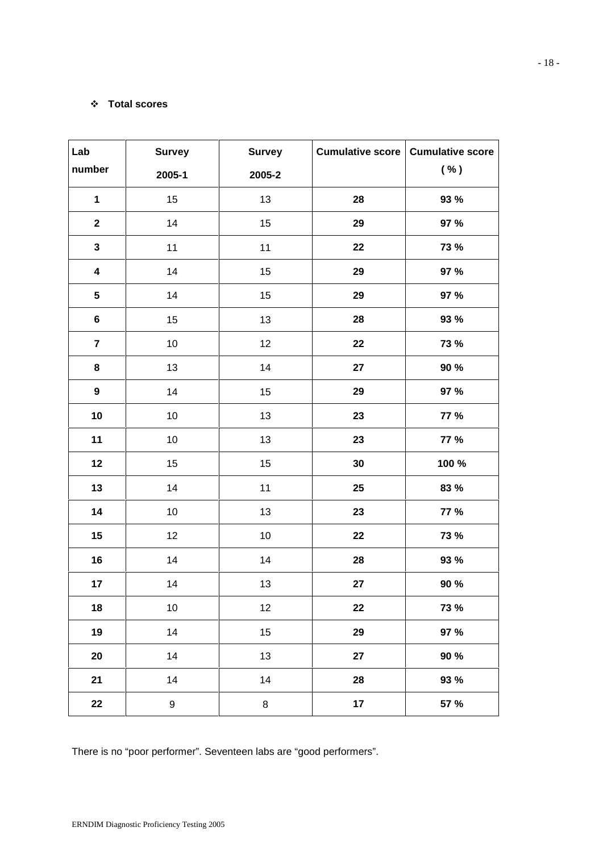### **Total scores**

| Lab<br><b>Survey</b><br><b>Survey</b> |        | <b>Cumulative score</b> | <b>Cumulative score</b> |             |
|---------------------------------------|--------|-------------------------|-------------------------|-------------|
| number                                | 2005-1 | 2005-2                  |                         | ( %)        |
| $\mathbf 1$                           | 15     | 13                      | 28                      | 93 %        |
| $\mathbf{2}$                          | 14     | 15                      | 29                      | 97 %        |
| $\mathbf{3}$                          | 11     | 11                      | 22                      | 73 %        |
| $\overline{\mathbf{4}}$               | 14     | 15                      | 29                      | 97 %        |
| $5\phantom{.0}$                       | 14     | 15                      | 29                      | 97 %        |
| $\bf 6$                               | 15     | 13                      | 28                      | 93 %        |
| $\overline{7}$                        | $10$   | 12                      | 22                      | 73 %        |
| 8                                     | 13     | 14                      | 27                      | 90 %        |
| $\boldsymbol{9}$                      | 14     | 15                      | 29                      | 97 %        |
| 10                                    | $10$   | 13                      | 23                      | <b>77 %</b> |
| 11                                    | $10$   | 13                      | 23                      | <b>77 %</b> |
| 12                                    | 15     | 15                      | 30                      | 100 %       |
| 13                                    | 14     | 11                      | 25                      | 83 %        |
| 14                                    | $10$   | 13                      | 23                      | <b>77 %</b> |
| 15                                    | 12     | $10$                    | 22                      | <b>73 %</b> |
| $16$                                  | 14     | 14                      | ${\bf 28}$              | 93 %        |
| 17                                    | 14     | 13                      | 27                      | 90 %        |
| 18                                    | $10$   | 12                      | 22                      | <b>73 %</b> |
| 19                                    | 14     | 15                      | 29                      | 97 %        |
| 20                                    | 14     | 13                      | 27                      | 90 %        |
| 21                                    | 14     | 14                      | 28                      | 93 %        |
| 22                                    | 9      | 8                       | 17                      | 57 %        |

There is no "poor performer". Seventeen labs are "good performers".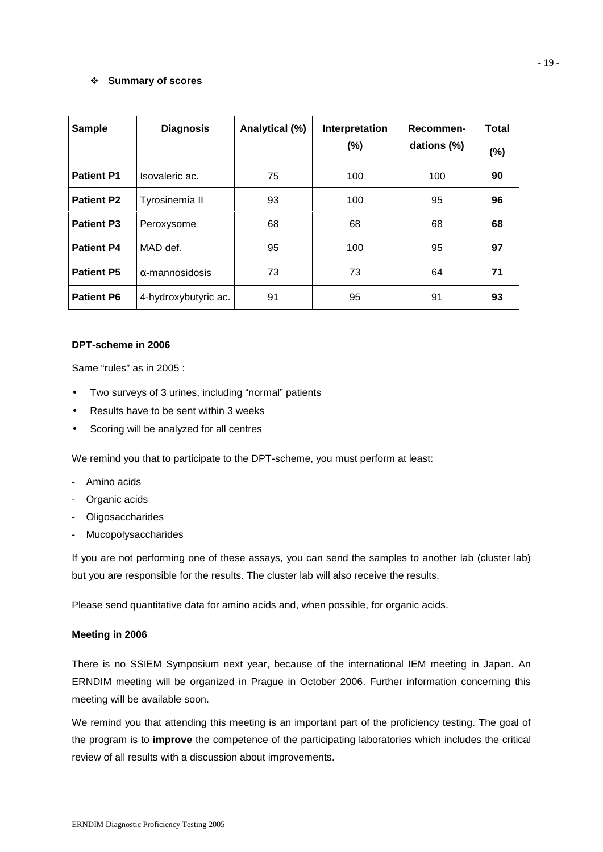### **Summary of scores**

| <b>Sample</b>     | <b>Diagnosis</b>       | Analytical (%) | Interpretation<br>(%) | Recommen-<br>dations (%) | <b>Total</b><br>$(\%)$ |
|-------------------|------------------------|----------------|-----------------------|--------------------------|------------------------|
| <b>Patient P1</b> | Isovaleric ac.         | 75             | 100                   | 100                      | 90                     |
| <b>Patient P2</b> | Tyrosinemia II         | 93             | 100                   | 95                       | 96                     |
| <b>Patient P3</b> | Peroxysome             | 68             | 68                    | 68                       | 68                     |
| <b>Patient P4</b> | MAD def.               | 95             | 100                   | 95                       | 97                     |
| <b>Patient P5</b> | $\alpha$ -mannosidosis | 73             | 73                    | 64                       | 71                     |
| <b>Patient P6</b> | 4-hydroxybutyric ac.   | 91             | 95                    | 91                       | 93                     |

#### **DPT-scheme in 2006**

Same "rules" as in 2005 :

- Two surveys of 3 urines, including "normal" patients
- Results have to be sent within 3 weeks
- Scoring will be analyzed for all centres

We remind you that to participate to the DPT-scheme, you must perform at least:

- Amino acids
- Organic acids
- **Oligosaccharides**
- **Mucopolysaccharides**

If you are not performing one of these assays, you can send the samples to another lab (cluster lab) but you are responsible for the results. The cluster lab will also receive the results.

Please send quantitative data for amino acids and, when possible, for organic acids.

#### **Meeting in 2006**

There is no SSIEM Symposium next year, because of the international IEM meeting in Japan. An ERNDIM meeting will be organized in Prague in October 2006. Further information concerning this meeting will be available soon.

We remind you that attending this meeting is an important part of the proficiency testing. The goal of the program is to **improve** the competence of the participating laboratories which includes the critical review of all results with a discussion about improvements.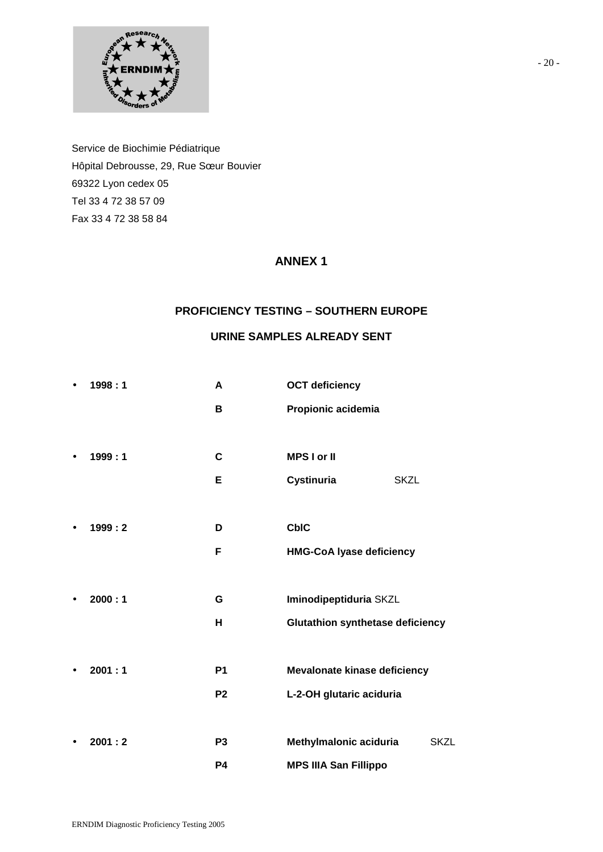

Service de Biochimie Pédiatrique Hôpital Debrousse, 29, Rue Sœur Bouvier 69322 Lyon cedex 05 Tel 33 4 72 38 57 09 Fax 33 4 72 38 58 84

## **ANNEX 1**

## **PROFICIENCY TESTING – SOUTHERN EUROPE**

## **URINE SAMPLES ALREADY SENT**

| $\bullet$ | 1998:1 | A              | <b>OCT deficiency</b>                   |
|-----------|--------|----------------|-----------------------------------------|
|           |        | В              | Propionic acidemia                      |
|           |        |                |                                         |
| $\bullet$ | 1999:1 | $\mathbf c$    | <b>MPS I or II</b>                      |
|           |        | Е              | Cystinuria<br><b>SKZL</b>               |
|           |        |                |                                         |
| $\bullet$ | 1999:2 | D              | <b>CbIC</b>                             |
|           |        | F              | <b>HMG-CoA lyase deficiency</b>         |
|           |        |                |                                         |
|           | 2000:1 | G              | Iminodipeptiduria SKZL                  |
|           |        | н              | <b>Glutathion synthetase deficiency</b> |
|           |        |                |                                         |
|           | 2001:1 | P <sub>1</sub> | Mevalonate kinase deficiency            |
|           |        | P <sub>2</sub> | L-2-OH glutaric aciduria                |
|           |        |                |                                         |
|           | 2001:2 | P <sub>3</sub> | Methylmalonic aciduria<br><b>SKZL</b>   |
|           |        | <b>P4</b>      | <b>MPS IIIA San Fillippo</b>            |